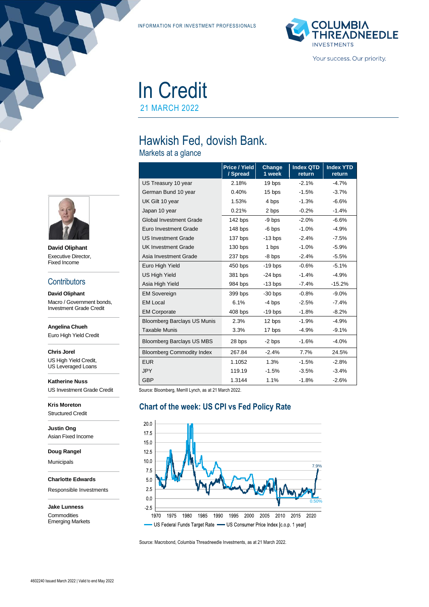INFORMATION FOR INVESTMENT PROFESSIONALS



In Credit

21 MARCH 2022

# Hawkish Fed, dovish Bank.

Markets at a glance

|                                    | Price / Yield<br>/ Spread | Change<br>1 week | <b>Index QTD</b><br>return | <b>Index YTD</b><br>return |
|------------------------------------|---------------------------|------------------|----------------------------|----------------------------|
| US Treasury 10 year                | 2.18%                     | 19 bps           | $-2.1%$                    | $-4.7%$                    |
| German Bund 10 year                | 0.40%                     | 15 bps           | $-1.5%$                    | $-3.7%$                    |
| UK Gilt 10 year                    | 1.53%                     | 4 bps            | $-1.3%$                    | $-6.6%$                    |
| Japan 10 year                      | 0.21%                     | 2 bps            | $-0.2%$                    | $-1.4%$                    |
| <b>Global Investment Grade</b>     | 142 bps                   | -9 bps           | $-2.0%$                    | $-6.6%$                    |
| Euro Investment Grade              | 148 bps                   | $-6$ bps         | $-1.0%$                    | $-4.9%$                    |
| <b>US Investment Grade</b>         | 137 bps                   | $-13$ bps        | $-2.4%$                    | $-7.5%$                    |
| <b>UK Investment Grade</b>         | $130$ bps                 | 1 bps            | $-1.0%$                    | $-5.9%$                    |
| Asia Investment Grade              | 237 bps                   | $-8$ bps         | $-2.4%$                    | $-5.5%$                    |
| Euro High Yield                    | $450$ bps                 | $-19$ bps        | $-0.6%$                    | $-5.1%$                    |
| <b>US High Yield</b>               | 381 bps                   | $-24$ bps        | $-1.4%$                    | $-4.9%$                    |
| Asia High Yield                    | 984 bps                   | $-13$ bps        | $-7.4\%$                   | $-15.2%$                   |
| <b>EM Sovereign</b>                | 399 bps                   | $-30$ bps        | $-0.8%$                    | $-9.0%$                    |
| <b>EM Local</b>                    | 6.1%                      | $-4$ bps         | $-2.5%$                    | $-7.4%$                    |
| <b>EM Corporate</b>                | $408$ bps                 | $-19$ bps        | $-1.8%$                    | $-8.2%$                    |
| <b>Bloomberg Barclays US Munis</b> | 2.3%                      | 12 bps           | $-1.9%$                    | $-4.9%$                    |
| <b>Taxable Munis</b>               | 3.3%                      | 17 bps           | -4.9%                      | $-9.1%$                    |
| <b>Bloomberg Barclays US MBS</b>   | 28 bps                    | $-2$ bps         | $-1.6%$                    | $-4.0%$                    |
| <b>Bloomberg Commodity Index</b>   | 267.84                    | $-2.4%$          | 7.7%                       | 24.5%                      |
| <b>EUR</b>                         | 1.1052                    | 1.3%             | $-1.5%$                    | $-2.8%$                    |
| <b>JPY</b>                         | 119.19                    | $-1.5%$          | $-3.5%$                    | $-3.4\%$                   |
| <b>GBP</b>                         | 1.3144                    | 1.1%             | $-1.8%$                    | $-2.6%$                    |

Source: Bloomberg, Merrill Lynch, as at 21 March 2022.

#### **Chart of the week: US CPI vs Fed Policy Rate**



Source: Macrobond, Columbia Threadneedle Investments, as at 21 March 2022.



**David Oliphant** Executive Director, Fixed Income

#### **Contributors**

**David Oliphant** Macro / Government bonds, Investment Grade Credit

**Angelina Chueh**

Euro High Yield Credit

**Chris Jorel** US High Yield Credit,

US Leveraged Loans

**Katherine Nuss** US Investment Grade Credit

**Kris Moreton** Structured Credit

**Justin Ong** Asian Fixed Income

**Doug Rangel**

Municipals

**Charlotte Edwards**

Responsible Investments

**Jake Lunness Commodities** Emerging Markets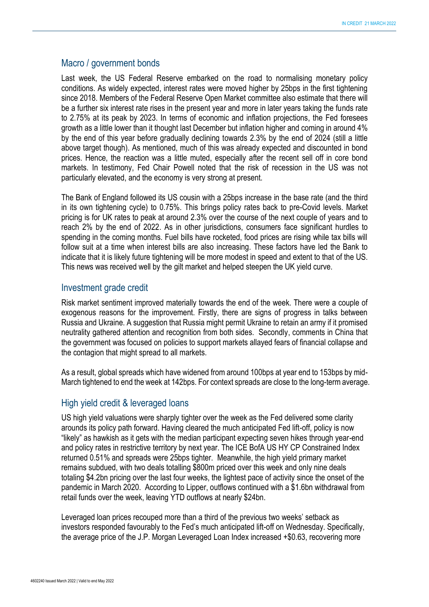#### Macro / government bonds

Last week, the US Federal Reserve embarked on the road to normalising monetary policy conditions. As widely expected, interest rates were moved higher by 25bps in the first tightening since 2018. Members of the Federal Reserve Open Market committee also estimate that there will be a further six interest rate rises in the present year and more in later years taking the funds rate to 2.75% at its peak by 2023. In terms of economic and inflation projections, the Fed foresees growth as a little lower than it thought last December but inflation higher and coming in around 4% by the end of this year before gradually declining towards 2.3% by the end of 2024 (still a little above target though). As mentioned, much of this was already expected and discounted in bond prices. Hence, the reaction was a little muted, especially after the recent sell off in core bond markets. In testimony, Fed Chair Powell noted that the risk of recession in the US was not particularly elevated, and the economy is very strong at present.

The Bank of England followed its US cousin with a 25bps increase in the base rate (and the third in its own tightening cycle) to 0.75%. This brings policy rates back to pre-Covid levels. Market pricing is for UK rates to peak at around 2.3% over the course of the next couple of years and to reach 2% by the end of 2022. As in other jurisdictions, consumers face significant hurdles to spending in the coming months. Fuel bills have rocketed, food prices are rising while tax bills will follow suit at a time when interest bills are also increasing. These factors have led the Bank to indicate that it is likely future tightening will be more modest in speed and extent to that of the US. This news was received well by the gilt market and helped steepen the UK yield curve.

#### Investment grade credit

Risk market sentiment improved materially towards the end of the week. There were a couple of exogenous reasons for the improvement. Firstly, there are signs of progress in talks between Russia and Ukraine. A suggestion that Russia might permit Ukraine to retain an army if it promised neutrality gathered attention and recognition from both sides. Secondly, comments in China that the government was focused on policies to support markets allayed fears of financial collapse and the contagion that might spread to all markets.

As a result, global spreads which have widened from around 100bps at year end to 153bps by mid-March tightened to end the week at 142bps. For context spreads are close to the long-term average.

### High yield credit & leveraged loans

US high yield valuations were sharply tighter over the week as the Fed delivered some clarity arounds its policy path forward. Having cleared the much anticipated Fed lift-off, policy is now "likely" as hawkish as it gets with the median participant expecting seven hikes through year-end and policy rates in restrictive territory by next year. The ICE BofA US HY CP Constrained Index returned 0.51% and spreads were 25bps tighter. Meanwhile, the high yield primary market remains subdued, with two deals totalling \$800m priced over this week and only nine deals totaling \$4.2bn pricing over the last four weeks, the lightest pace of activity since the onset of the pandemic in March 2020. According to Lipper, outflows continued with a \$1.6bn withdrawal from retail funds over the week, leaving YTD outflows at nearly \$24bn.

Leveraged loan prices recouped more than a third of the previous two weeks' setback as investors responded favourably to the Fed's much anticipated lift-off on Wednesday. Specifically, the average price of the J.P. Morgan Leveraged Loan Index increased +\$0.63, recovering more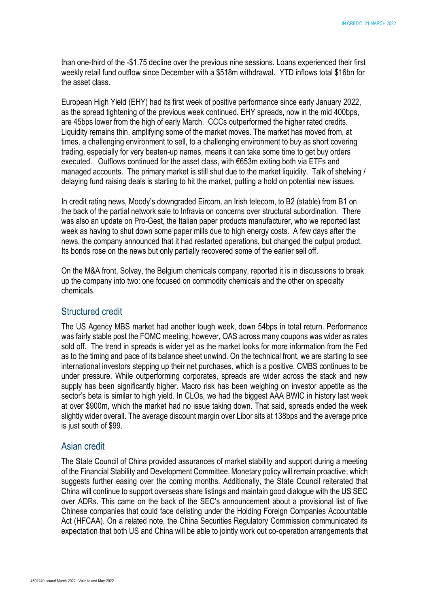than one-third of the -\$1.75 decline over the previous nine sessions. Loans experienced their first weekly retail fund outflow since December with a \$518m withdrawal. YTD inflows total \$16bn for the asset class.

European High Yield (EHY) had its first week of positive performance since early January 2022, as the spread tightening of the previous week continued. EHY spreads, now in the mid 400bps, are 45bps lower from the high of early March. CCCs outperformed the higher rated credits. Liquidity remains thin, amplifying some of the market moves. The market has moved from, at times, a challenging environment to sell, to a challenging environment to buy as short covering trading, especially for very beaten-up names, means it can take some time to get buy orders executed. Outflows continued for the asset class, with €653m exiting both via ETFs and managed accounts. The primary market is still shut due to the market liquidity. Talk of shelving / delaying fund raising deals is starting to hit the market, putting a hold on potential new issues.

In credit rating news, Moody's downgraded Eircom, an Irish telecom, to B2 (stable) from B1 on the back of the partial network sale to Infravia on concerns over structural subordination. There was also an update on Pro-Gest, the Italian paper products manufacturer, who we reported last week as having to shut down some paper mills due to high energy costs. A few days after the news, the company announced that it had restarted operations, but changed the output product. Its bonds rose on the news but only partially recovered some of the earlier sell off.

On the M&A front, Solvay, the Belgium chemicals company, reported it is in discussions to break up the company into two: one focused on commodity chemicals and the other on specialty chemicals.

#### Structured credit

The US Agency MBS market had another tough week, down 54bps in total return. Performance was fairly stable post the FOMC meeting; however, OAS across many coupons was wider as rates sold off. The trend in spreads is wider yet as the market looks for more information from the Fed as to the timing and pace of its balance sheet unwind. On the technical front, we are starting to see international investors stepping up their net purchases, which is a positive. CMBS continues to be under pressure. While outperforming corporates, spreads are wider across the stack and new supply has been significantly higher. Macro risk has been weighing on investor appetite as the sector's beta is similar to high yield. In CLOs, we had the biggest AAA BWIC in history last week at over \$900m, which the market had no issue taking down. That said, spreads ended the week slightly wider overall. The average discount margin over Libor sits at 138bps and the average price is just south of \$99.

### Asian credit

The State Council of China provided assurances of market stability and support during a meeting of the Financial Stability and Development Committee. Monetary policy will remain proactive, which suggests further easing over the coming months. Additionally, the State Council reiterated that China will continue to support overseas share listings and maintain good dialogue with the US SEC over ADRs. This came on the back of the SEC's announcement about a provisional list of five Chinese companies that could face delisting under the Holding Foreign Companies Accountable Act (HFCAA). On a related note, the China Securities Regulatory Commission communicated its expectation that both US and China will be able to jointly work out co-operation arrangements that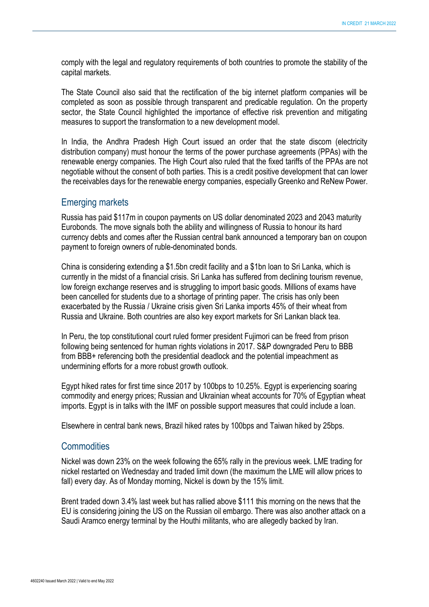comply with the legal and regulatory requirements of both countries to promote the stability of the capital markets.

The State Council also said that the rectification of the big internet platform companies will be completed as soon as possible through transparent and predicable regulation. On the property sector, the State Council highlighted the importance of effective risk prevention and mitigating measures to support the transformation to a new development model.

In India, the Andhra Pradesh High Court issued an order that the state discom (electricity distribution company) must honour the terms of the power purchase agreements (PPAs) with the renewable energy companies. The High Court also ruled that the fixed tariffs of the PPAs are not negotiable without the consent of both parties. This is a credit positive development that can lower the receivables days for the renewable energy companies, especially Greenko and ReNew Power.

### Emerging markets

Russia has paid \$117m in coupon payments on US dollar denominated 2023 and 2043 maturity Eurobonds. The move signals both the ability and willingness of Russia to honour its hard currency debts and comes after the Russian central bank announced a temporary ban on coupon payment to foreign owners of ruble-denominated bonds.

China is considering extending a \$1.5bn credit facility and a \$1bn loan to Sri Lanka, which is currently in the midst of a financial crisis. Sri Lanka has suffered from declining tourism revenue, low foreign exchange reserves and is struggling to import basic goods. Millions of exams have been cancelled for students due to a shortage of printing paper. The crisis has only been exacerbated by the Russia / Ukraine crisis given Sri Lanka imports 45% of their wheat from Russia and Ukraine. Both countries are also key export markets for Sri Lankan black tea.

In Peru, the top constitutional court ruled former president Fujimori can be freed from prison following being sentenced for human rights violations in 2017. S&P downgraded Peru to BBB from BBB+ referencing both the presidential deadlock and the potential impeachment as undermining efforts for a more robust growth outlook.

Egypt hiked rates for first time since 2017 by 100bps to 10.25%. Egypt is experiencing soaring commodity and energy prices; Russian and Ukrainian wheat accounts for 70% of Egyptian wheat imports. Egypt is in talks with the IMF on possible support measures that could include a loan.

Elsewhere in central bank news, Brazil hiked rates by 100bps and Taiwan hiked by 25bps.

### **Commodities**

Nickel was down 23% on the week following the 65% rally in the previous week. LME trading for nickel restarted on Wednesday and traded limit down (the maximum the LME will allow prices to fall) every day. As of Monday morning, Nickel is down by the 15% limit.

Brent traded down 3.4% last week but has rallied above \$111 this morning on the news that the EU is considering joining the US on the Russian oil embargo. There was also another attack on a Saudi Aramco energy terminal by the Houthi militants, who are allegedly backed by Iran.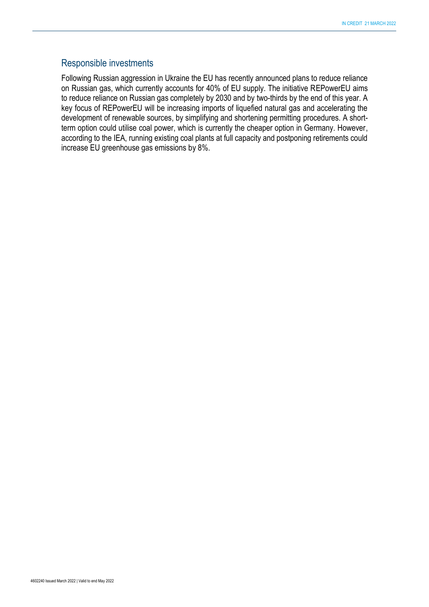#### Responsible investments

Following Russian aggression in Ukraine the EU has recently announced plans to reduce reliance on Russian gas, which currently accounts for 40% of EU supply. The initiative REPowerEU aims to reduce reliance on Russian gas completely by 2030 and by two-thirds by the end of this year. A key focus of REPowerEU will be increasing imports of liquefied natural gas and accelerating the development of renewable sources, by simplifying and shortening permitting procedures. A shortterm option could utilise coal power, which is currently the cheaper option in Germany. However, according to the IEA, running existing coal plants at full capacity and postponing retirements could increase EU greenhouse gas emissions by 8%.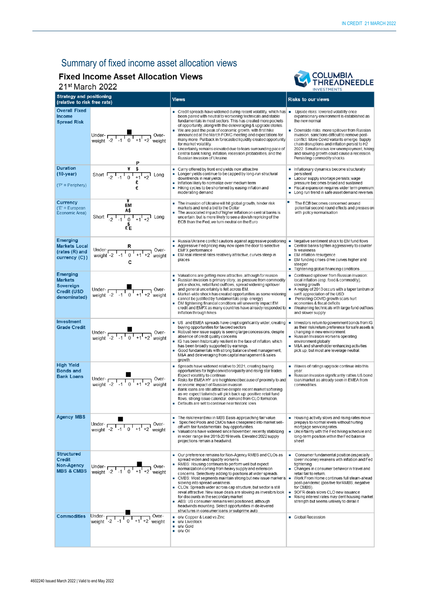# Summary of fixed income asset allocation views

## **Fixed Income Asset Allocation Views**

21st March 2022



| <b>Strategy and positioning</b><br><b>Views</b><br>(relative to risk free rate)  |                                                                                                                                                      |                                                                                                                                                                                                                                                                                                                                                                                                                                                                                                                                                                                                                                                                                                                                             | <b>INVESIMENIS</b><br><b>Risks to our views</b>                                                                                                                                                                                                                                                                                                                                                                                                     |
|----------------------------------------------------------------------------------|------------------------------------------------------------------------------------------------------------------------------------------------------|---------------------------------------------------------------------------------------------------------------------------------------------------------------------------------------------------------------------------------------------------------------------------------------------------------------------------------------------------------------------------------------------------------------------------------------------------------------------------------------------------------------------------------------------------------------------------------------------------------------------------------------------------------------------------------------------------------------------------------------------|-----------------------------------------------------------------------------------------------------------------------------------------------------------------------------------------------------------------------------------------------------------------------------------------------------------------------------------------------------------------------------------------------------------------------------------------------------|
| <b>Overall Fixed</b><br><b>Income</b><br><b>Spread Risk</b>                      | Under-<br>weight $-2$ $-1$ $0$ $+1$ $+2$ weight                                                                                                      | $\blacksquare$ Credit spreads have widened during recent volatility, which has $\blacksquare$<br>been paired with neutral to worsening technicals and stable<br>fundamentals in most sectors. This has created more pockets<br>of opportunity, along with the deleveraging & upgrade stories.<br>We are past the peak of economic growth, with first hike<br>٠<br>announced at the March FOMC meeting and expectations for<br>many more. Pullback in forecasted liquidity created opportunity<br>for market volatility.<br>Uncertainty remains elevated due to fears surrounding pace of<br>central bank hiking, inflation, recession probabilities, and the<br>Russian invasion of Ukraine.                                                | Upside risks: lowered volatility once<br>expansionary environment is established as<br>the new normal<br>Downside risks: more spillover from Russian<br>invasion, sanctions difficult to remove post-<br>conflict. More Covid variants emerge. Supply<br>chain disruptions and inflation persist to H2<br>2022. Simultaneous low unemployment, hiking<br>and slowing growth could cause a recession.<br>Persisting commodity shocks                 |
| <b>Duration</b><br>$(10-year)$<br>$('P' = Periphery)$                            | Short $\frac{4}{1}$ $\frac{8}{1}$ $\frac{1}{10}$ $\frac{1}{11}$ $\frac{1}{12}$ Long<br>€                                                             | ٠<br>Carry offered by front end yields now attractive<br>Longer yields continue to be capped by long-run structural<br>٠<br>downtrends in real yields<br>Inflation likely to normalize over medium term<br>Hiking cycles to be shortened by easing inflation and<br>٠<br>moderating demand                                                                                                                                                                                                                                                                                                                                                                                                                                                  | Inflationary dynamics become structurally<br>persistent<br>• Labour supply shortage persists; wage<br>pressure becomes broad and sustained<br>Fiscal expansion requires wider term premium<br>• Long run trend in safe asset demand reverses                                                                                                                                                                                                        |
| Currency<br>$(E' = European$<br>Economic Area)                                   | EM<br>Short $\frac{48}{-2}$ $\frac{48}{-1}$ $\frac{6}{-1}$ $\frac{6}{-1}$ $\frac{6}{-1}$ $\frac{6}{-1}$ $\frac{6}{-1}$ $\frac{6}{-1}$ $\frac{6}{-1}$ | The invasion of Ukraine will hit global growth, hinder risk<br>markets and lend a bid to the Dollar<br>The associated impact of higher inflation on central banks is<br>uncertain, but is more likely to see a dovish repricing of the<br>ECB than the Fed, we turn neutral on the Euro                                                                                                                                                                                                                                                                                                                                                                                                                                                     | The ECB becomes concerned around<br>potential second round effects and presses on<br>with policy normalisation                                                                                                                                                                                                                                                                                                                                      |
| Emerging<br><b>Markets Local</b><br>(rates (R) and<br>currency (C))              | Under- $R$<br>weight -2 $1 - 1 - 1 - 1 + 1 + 2$ weight<br>с                                                                                          | Russia/Ukraine conflict cautions against aggressive positioning<br>Aggressive Fed pricing may now open the door to selective<br><b>EMFX</b> performance<br>EM real interest rates relatively attractive, curves steep in<br>places                                                                                                                                                                                                                                                                                                                                                                                                                                                                                                          | Negative sentiment shock to EM fund flows<br>• Central banks tighten aggressively to counter<br>fx weakness<br>■ EM inflation resurgence<br>• EM funding crises drive curves higher and<br>steeper<br>Tightening global financing conditions                                                                                                                                                                                                        |
| Emerging<br><b>Markets</b><br>Sovereign<br><b>Credit (USD</b><br>denominated)    | Under- $\frac{1}{\sqrt{2} \cdot 1 \cdot 1}$ Over-<br>weight -2 -1 0 +1 +2 weight                                                                     | Valuations are getting more attractive, although for reason<br>Russian invasion is primary story, as pressure from commodity<br>price shocks, retail fund outflows, spread widening spillover<br>and general uncertainty is felt across EM.<br>Market-wide shock has created opportunities as some widening<br>cannot be justified by fundamentals (esp. energy)<br>DM tightening financial conditions will unevenly impact EM<br>credit and EMFX as many countries have already responded to<br>inflation through hikes                                                                                                                                                                                                                    | Continued spillover from Russian invasion:<br>local inflation (esp. food & commodity),<br>slowing growth<br>A replay of 2013 occurs with a taper tantrum or<br>swift appreciation of the USD<br>Persisting COVID growth scars hurt<br>economies & fiscal deficits<br>Weakening technicals with large fund outflows<br>$\mathbf{r}$<br>and slower supply                                                                                             |
| Investment<br><b>Grade Credit</b>                                                | Under-<br>weight $\frac{1}{2}$ , $\frac{1}{2}$ , $\frac{1}{2}$ , $\frac{1}{2}$ , $\frac{1}{2}$ , $\frac{1}{2}$ weight                                | US and EMEA spreads have crept significantly wider, creating<br>buying opportunities for favored sectors<br>Robust new issue supply is seeing large concessions, despite<br>absence of credit quality concems<br>IG has been historically resilient in the face of inflation, which<br>has been broadly supported by earnings.<br>Good fundamentals with strong balance sheet management,<br>M&A and deleveraging from capital management & sales<br>growth                                                                                                                                                                                                                                                                                 | linvestors return to government bonds from IG<br>٠<br>as their risk/retum preference for safe assets is<br>changing in new environment<br>Russian Invasion worsens operating<br>environment globally<br>M&A and shareholder enhancing activities<br>pick up, but most are leverage neutral.                                                                                                                                                         |
| <b>High Yield</b><br><b>Bonds and</b><br><b>Bank Loans</b>                       | Under-<br>weight $-2$ $-1$ $0$ $+1$ $+2$ weight                                                                                                      | Spreads have widened relative to 2021, creating buying<br>٠<br>opportunities for high conviction/quality and rising star trades.<br>Expect volatility to continue.<br>Risks for EMEA HY are heightened because of proximity to and<br>economic impact of Russian invasion<br>Bank loans are still attractive despite recent market softening<br>as we expect tailwinds will pick back up: positive retail fund<br>flows, strong issue calendar, demand from CLO formation.<br>• Defaults are set to continue near historic lows                                                                                                                                                                                                             | Waves of ratings upgrade continue into this<br>year.<br>Russian invasion significantly rattles US bond<br>loan/market as already seen in EMEA from<br>commodities.                                                                                                                                                                                                                                                                                  |
| <b>Agency MBS</b>                                                                | Under- $\sqrt{\frac{1}{2} - 1}$<br>Over-<br>$0 + 1 + 2$ weight                                                                                       | The risk/reward mix in MBS Basis approaching fair value.<br>٠<br>Specified Pools and CMOs have cheapened into market sell-<br>ш<br>off with fair fundamentals: buy opportunities.<br>Valuations have widened since November, recently stabilizing<br>in wider range like 2018-2019 levels. Elevated 2022 supply<br>projections remain a headwind.                                                                                                                                                                                                                                                                                                                                                                                           | Housing activity slows and rising rates move<br>prepays to normal levels without hurting<br>mortgage servicing rates.<br>Uncertainty with the Fed hiking schedule and<br>long-term position within the Fed balance<br>sheet                                                                                                                                                                                                                         |
| <b>Structured</b><br><b>Credit</b><br><b>Non-Agency</b><br><b>MBS &amp; CMBS</b> | Under- $\frac{1}{2}$ -1 0                                                                                                                            | Our preference remains for Non-Agency RMBS and CLOs as<br>spread widen and liquidity worsens<br>RMBS: Housing continues to perform well but expect<br>ш<br>normalization coming from heavy supply and extension<br>concerns. Selectively adding to positions at wider spreads.<br>CMBS: Most segments maintain strong but new issue marker is $\blacksquare$<br>slowing into spread weakness.<br>CLOs: Spreads wider across cap structure, but sector is still<br>reval attractive. New issue deals are slowing as investors look<br>for discounts in the secondary market<br>ABS: US consumer remains well positioned, although<br>headwinds mounting. Select opportunities in de-levered<br>structures in consumer loans or subprime auto | Consumer fundamental position (especially<br>ш<br>lower income) weakens with inflation and Fed<br>tightening<br>• Changes in consumer behavior in travel and<br>retail fail to return.<br>Work From Home continues full steam-ahead<br>post-pandemic (positive for RMBS, negative<br>for CMBS).<br>SOFR deals slows CLO new issuance<br>Rising interest rates may dent housing market<br>$\blacksquare$<br>strength but seems unlikely to derail it |
| <b>Commodities</b>                                                               |                                                                                                                                                      | o/w Copper & Lead vs Zinc<br>ш<br>u/w Livestock<br>$\blacksquare$<br>u/w Gold<br>٠<br>$\blacksquare$ o/w Oil                                                                                                                                                                                                                                                                                                                                                                                                                                                                                                                                                                                                                                | Global Recession                                                                                                                                                                                                                                                                                                                                                                                                                                    |